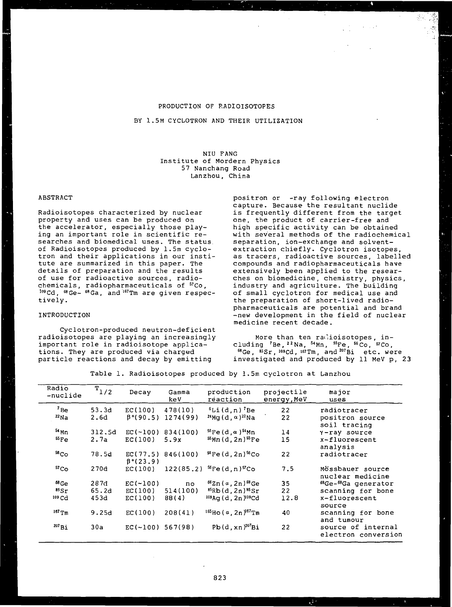### PRODUCTION OF RADIOISOTOPES

## BY 1.5M CYCLOTRON AND THEIR UTILIZATION

NIU FANG Institute of Mordern Physics 57 Nanchang Road Lanzhou, China

### ABSTRACT

Radioisotopes characterized by nuclear property and uses can be produced on the accelerator, especially those playing an important role in scientific researches and biomedical uses. The status of Radioisotopes produced by 1.5m cyclotron and their applications in our institute are summarized in this paper. The details of preparation and the results of use for radioactive sources, radiochemicals, radiopharmaceuticals of <sup>57</sup>Co, 109Cd, <sup>68</sup>Ge- <sup>68</sup>Ga, and <sup>167</sup>Tm are given respec tively.

### INTRODUCTION

Cyclotron-produced neutron-deficient radioisotopes are playing an increasingly important role in radioisotope applications. They are produced via charged particle reactions and decay by emitting

positron or -ray following electron capture. Because the resultant nuclide is frequently different from the target one, the product of carrier-free and high specific activity can be obtained with several methods of the radiochemical separation, ion-exchange and solventextraction chiefly. Cyclotron isotopes, as tracers, radioactive sources, labelled compounds and radiopharmaceuticals have extensively been applied to the researches on biomedicine, chemistry, physics, industry and agriculture. The building of small cyclotron for medical use and the preparation of short-lived radiopharmaceuticals are potential and brand -new development in the field of nuclear medicine recent decade.

More than ten radioisotopes, including <sup>7</sup>Be,<sup>22</sup>Na, <sup>54</sup>Mn, <sup>55</sup>Fe, <sup>56</sup>Co, <sup>57</sup>Co 68 Ge, <sup>85</sup>Sr, <sup>109</sup>Cd, <sup>167</sup>Tm, and <sup>207</sup>Bi etc. were investigated and produced by 11 MeV p, 23

Table 1. Radioisotopes produced by 1.5m cyclotron at Lanzhou

| Radio<br>-nuclide | $T_{1/2}$ | Decay                       | Gamma<br>keV        | production<br>reaction                         | projectile<br>energy, MeV | major<br>uses                             |
|-------------------|-----------|-----------------------------|---------------------|------------------------------------------------|---------------------------|-------------------------------------------|
| $7_{\text{Be}}$   | 53.3d     | EC(100)                     | 478(10)             | $6$ Li $(d, n)$ <sup>7</sup> Be                | 22                        | radiotracer                               |
| $^{22}$ Na        | 2.6d      | $\beta$ <sup>+</sup> (90.5) | 1274(99)            | $24$ Mg $(d, \alpha)$ <sup>22</sup> Na         | 22                        | positron source<br>soil tracing           |
| $54$ Mn           | 312.5d    |                             | $EC(-100) 834(100)$ | $56 \text{Fe}$ (d, $\alpha$ ) <sup>54</sup> Mn | 14                        | Y-ray source                              |
| $^{55}Fe$         | 2.7a      | EC(100)                     | 5.9x                | $55Mn(d, 2n)$ <sup>55</sup> Fe                 | 15                        | $x$ -fluorescent<br>analysis              |
| 56 <sub>Co</sub>  | 78.5d     | $\beta$ <sup>+</sup> (23.9) | EC(77.5) 846(100)   | $56Fe(d, 2n)$ <sup>56</sup> Co                 | 22                        | radiotracer                               |
| 57 <sub>Co</sub>  | 270d      | EC(100)                     |                     | $122(85.2)^{56}$ Fe $(d, n)^{57}$ Co           | 7.5                       | Mössbauer source<br>nuclear medicine      |
| $^{68}$ Ge        | 287d      | $EC(-100)$                  | no                  | $66$ Zn (a, 2n) $68$ Ge                        | 35                        | 68Ge-68Ga generator                       |
| 85Sr              | 65.2d     | EC(100)                     | 514(100)            | $^{85}$ Rb $(d, 2n)$ $^{85}$ Sr                | 22                        | scanning for bone                         |
| 109 <sub>cd</sub> | 453d      | EC(100)                     | 88(4)               | <sup>109</sup> Aq (d, 2n ) <sup>109</sup> Cd   | 12.8                      | x-fluorescent<br>source                   |
| $167$ Tm          | 9.25d     | EC(100)                     | 208(41)             | $165$ Ho (a, 2n $167$ Tm                       | 40                        | scanning for bone<br>and tumour           |
| $^{207}$ Bi       | 30a       | $EC(-100)$                  | 567(98)             | $Pb(d, xn)^{207}Bi$                            | 22                        | source of internal<br>electron conversion |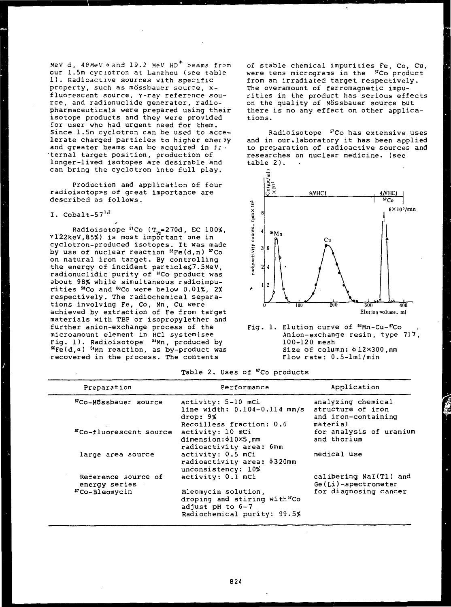MeV d, 48MeV  $\alpha$  and 19.2 MeV HD<sup>+</sup> beams from cur 1.5m cyclotron at Lanzhou (see table 1). Radioactive sources with specific property, such as mössbauer source, xfluorescent source, Y-ray reference source, and radionuclide generator, radiopharmaceuticals were prepared using their isotope products and they were provided for user who had urgent need for them. Since 1.5m cyclotron can be used to accelerate charged particles to higher enervy and greater beams can be acquired in  $i\bar{i}$ . ternal target position, production of longer-lived isotopes are desirable and can bring the cyclotron into full play.

Production and application of four radioisotop^s of great importance are described as follows.

## I.  $\text{Cobalt-57}^{1,2}$

 $\frac{1}{\sqrt{2}}$ 

Radioisotope <sup>57</sup>Co (T<sub>1/j</sub>=270d, EC 100%, Y122keV,85%) is most important one in cyclotron-produced isotopes. It was made by use of nuclear reaction <sup>56</sup>Fe(d,n) <sup>57</sup>Co on natural iron target. By controlling the energy of incident particle<7.5MeV, radionuclidic purity of "Co product was about 98% while simultaneous radioimpurities <sup>58</sup>Co and "»Co were below 0.01%, 2% respectively. The radiochemical separations involving Fe, Co, Mn, Cu were achieved by extraction of Fe from target materials with TBP or isopropylether and further anion-exchange process of the microamount element in HC1 system(see microamount element in Aci system(see<br>Fig. 1). Radioisotope <sup>54</sup>Mn, produced by rig. I). Radioisotope "Mmi, produced by<br><sup>56</sup>Fe(d.a) <sup>54</sup>Mn reaction, as by-product was recovered in the process. The contents

of stable chemical impurities Fe, Co, Cu, were tens micrograms in the <sup>57</sup>Co product from an irradiated target respectively. The overamount of ferromagnetic impurities in the product has serious effects on the quality of Mossbauer source but there is no any effect on other applications.

Radioisotope <sup>57</sup>Co has extensive uses and in our.laboratory it has been applied to preparation of radioactive sources and researches on nuclear medicine, (see table 2).



Fig. 1. Elution curve of 54Mn-Cu-57Co Anion-exchange resin, type 717, 100-120 mesh Size of column:  $\phi$ 12×300, mm Flow rate : 0.5-lml/min

# Table 2. Uses of <sup>57</sup>Co products

| Preparation                          | Performance                                                                                                           | Application                                                                |  |  |
|--------------------------------------|-----------------------------------------------------------------------------------------------------------------------|----------------------------------------------------------------------------|--|--|
| 57Co-Mossbauer source                | activity: 5-10 mCi<br>line width: $0.104-0.114$ mm/s<br>drop: 9%<br>Recoilless fraction: 0.6                          | analyzing chemical<br>structure of iron<br>and iron-containing<br>material |  |  |
| "Co-fluorescent source               | activity: 10 mCi<br>dimension: \$10×5, mm<br>radioactivity area: 6mm                                                  | for analysis of uranium<br>and thorium                                     |  |  |
| large area source                    | activity: 0.5 mCi<br>radioactivity area: \$320mm<br>unconsistency: 10%                                                | medical use                                                                |  |  |
| Reference source of<br>energy series | activity: 0.1 mCi                                                                                                     | calibering NaI(Tl) and<br>Ge(Li)-spectrometer                              |  |  |
| $57$ Co-Bleomycin                    | Bleomycin solution,<br>droping and stiring with <sup>57</sup> Co<br>adjust pH to $6-7$<br>Radiochemical purity: 99.5% | for diagnosing cancer                                                      |  |  |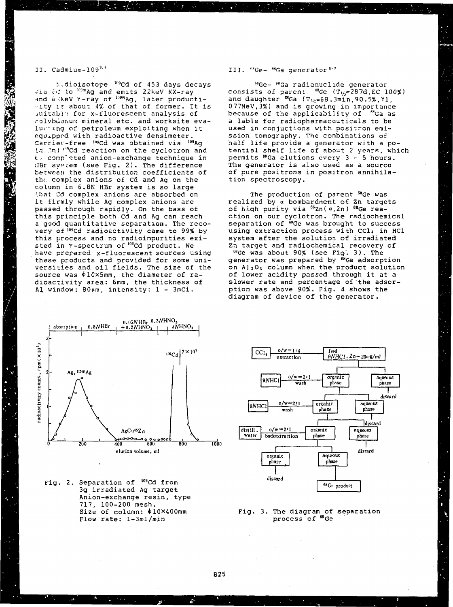## II.  $C$ admium-109 $^{3.4}$

 $\approx$ dioisotope  $^{109}$ Cd of 453 days decays via *id* to <sup>09m</sup>Ag and emits 22keV KX-ray and 6 KeV Y-ray of 109mAg, later productivity it about 4% of that of former. It is suitable for x-fluorescent analysis of molybdenum mineral etc. and worksite evaluaring of petroleum exploiting when it equipped with radioactive densimeter. Carrier-free <sup>109</sup>Cd was obtained via <sup>109</sup>Aç (.7 ~.n) '"<sup>9</sup>Cd reaction on the cyclotron and t, completed anion-exchange technique in UBr system (see Fig. 2). The difference between the distribution coefficients of the complex anions of Cd and Ag on the column in 6.8N HBr system is so large '.bat Cd complex anions are absorbed on it firmly while Ag complex anions are passed through rapidly. On the bass of this principle both Cd and Ag can reach a good quantitative separation. The recovery of <sup>109</sup>Cd radioactivity came to 99% by this process and no radioimpurities existed in Y-spectrum of <sup>109</sup>Cd product. We have prepared x-fluorescent sources using these products and provided for some universities and oil fields. The size of the source was  $\phi$ 10×5mm, the diameter of radioactivity area: 6mm, the thickness of Al window: 80pm, intensity: 1 - 3mCi.

## <sup>68</sup>Ga generator<sup>5-1</sup>

<sup>6</sup>"Ge- ^'Ga radionuclide generator  $consists$  of parent  $^{68}$ Ge (T<sub>1/2</sub>=287d,EC 100%) and daughter  $^{68}$ Ga (T $_{1/\gamma}$ =68.3min,90.5%,Yl, 077MeV,3%) and is growing in importance because of the applicability of "Ga as a lable for radiopharmaceuticals to be used in conjuctions with positron emission tomography. The combinations of half life provide a generator with a potential shelf life of about 2 years, which permits <sup>6</sup>"Ga elutions every 3- 5 hours. .<br>The generator is also used as a source of pure positrons in positron annihilation spectroscopy.

The production of parent <sup>68</sup>Ge was realized by a bombardment of Zn targets of high purity via <sup>66</sup>Zn(a,2n) <sup>68</sup>Ge reaction on our cyclotron. The radiochemical separation of <sup>@</sup>Ge was brought to success using extraction process with CCl. in HCl system after the solution of irradiated Zn target and radiochemical recovery of

<sup>68</sup>Ge was about 90% (see Fig'. 3) . The generator was prepared by <sup>68</sup>Ge adsorption on AI2O3 column when the product solution of lower acidity passed through it at a slower rate and percentage of the adsorption was above 90%. Fig. 4 shows the diagram of device of the generator.



Fig. 2. Separation of <sup>109</sup>Cd from 3g irradiated Ag target Anion-exchange resin, type 717, 100-200 mesh. Size of column:  $b10\times400$ mm Flow rate: l-3ml/min



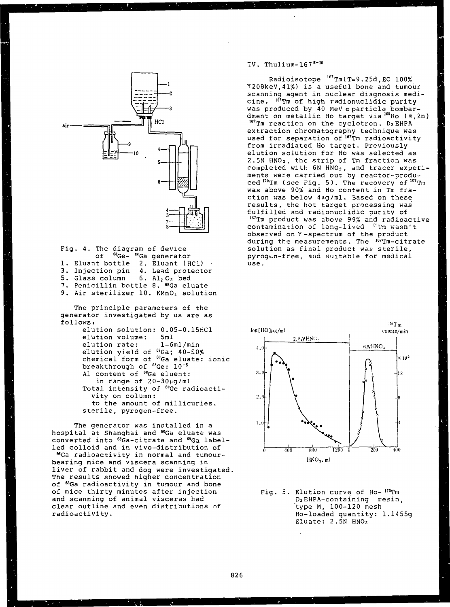

Fig. 4. The diagram of device of <sup>68</sup>Ge-<sup>68</sup>Ga generator 1. Eluant bottle 3. Injection pin 5. Glass column 7. Penicillin bottle 8. <sup>68</sup>Ga eluate 9. Air sterilizer 10. KMnO4 solution 2. Eluant (HCl) 4. Lead protector  $6.$  Al<sub>2</sub> O<sub>3</sub> bed The principle parameters of the generator investigated by us are as follows: elution solution 0.05-0.15HC1 elution volume: elution rate: elution yield of 5ml l-6ml/min  $68Ga$ ;  $40-50%$ 

chemical form of  $^{68}$ Ga eluate: ionic breakthrough of  $^{68}$ Ge: 10<sup>-5</sup>  $^{68}$ Ga eluate: Al content of <sup>68</sup>Ga eluent: in range of 20-30ng/ml Total intensity of <sup>68</sup>Ge radioactivity on column: to the amount of millicuries. sterile, pyrogen-free.

The generator was installed in a hospital at Shanghai and <sup>68</sup>Ga eluate was converted into <sup>68</sup>Ga-citrate and <sup>68</sup>Ga labelled colloid and in vivo-distribution of MGa radioactivity in normal and tumourbearing mice and viscera scanning in liver of rabbit and dog were investigated. The results showed higher concentration of <sup>66</sup>Ga radioactivity in tumour and bone of mice thirty minutes after injection and scanning of animal visceras had clear outline and even distributions of radioactivity.

IV. Thulium- $167<sup>8-10</sup>$ 

Radioisotope <sup>167</sup>Tm(T=9.25d,EC 100% Y208keV,41%) is a useful bone and tumour scanning agent in nuclear diagnosis medicine. <sup>167</sup>Tm of high radionuclidic purity was produced by 40 MeV a particle bombardment on metallic Ho target via <sup>165</sup>Ho ( $\alpha$ , 2n) 167Tm reaction on the cyclotron. D2 EHPA extraction chromatography technique was used for separation of <sup>167</sup>Tm radioactivity from irradiated Ho target. Previously elution solution for Ho was selected as 2.5N HNO3, the strip of Tm fraction was completed with 6N HNO3, and tracer experiments were carried out by reactor-produents were sarried sur by redeer prede<br>ced <sup>170</sup>Tm (see Fig. 5). The recovery of <sup>167</sup>Tm was above 90% and Ho content in Tm fraction was below 4µg/ml. Based on these results, the hot target processing was fulfilled and radionuclidic purity of 1B7Tm product was above 99% and radioactive  ${\tt contain}$  contamination of long-lived  $^{168}{\tt Tm}$  wasn't observed on Y-spectrum of the product during the measurements. The <sup>167</sup>Tm-citrate solution as final product was sterile, pyrogcn-free, and suitable for medical use.



Fig. 5. Elution curve of Ho- <sup>170</sup>Tm D2EHPA-containing resin, type M, 100-120 mesh Ho-loaded quantity: 1.1455g Eluate: 2.5N HNO3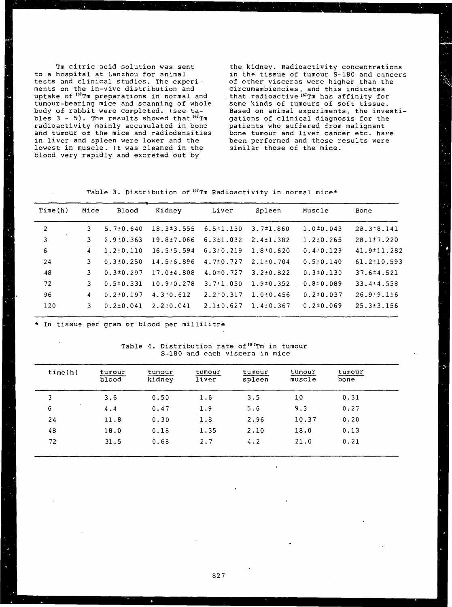Tm citric acid solution was sent to a hospital at Lanzhou for animal tests and clinical studies. The experiments on the in-vivo distribution and wence to the contract the contract of the preparations in normal and tumour-bearing mice and scanning of whole body of rabbit were completed, (see tables 3 - 5). The results showed that  $167$ Tm radioactivity mainly accumulated in bone and tumour of the mice and radiodensities in liver and spleen were lower and the lowest in muscle. It was cleaned in the blood very rapidly and excreted out by

the kidney. Radioactivity concentrations in the tissue of tumour S-180 and cancers of other visceras were higher than the circumambiencies, and this indicates . that radioactive <sup>167</sup>Tm has affinity for some kinds of tumours of soft tissue. Based on animal experiments, the investigations of clinical diagnosis for the patients who suffered from malignant bone tumour and liver cancer etc. have been performed and these results were similar those of the mice.

Table 3. Distribution of  $^{167}$ Tm Radioactivity in normal mice\*

| Time(h)        | Mice           | Blood           | Kidney           | Liver           | Spleen          | Muscle          | Bone             |
|----------------|----------------|-----------------|------------------|-----------------|-----------------|-----------------|------------------|
| $\overline{2}$ | 3.             | $5.7 \pm 0.640$ | $18.3 \pm 3.555$ | $6.5 \pm 1.130$ | $3.7 \pm 1.860$ | $1.0 \pm 0.043$ | 28.3 ± 8.141     |
| 3              | 3.             | $2.9 \pm 0.363$ | 19.8±7.066       | $6.3 \pm 1.032$ | $2.4 \pm 1.382$ | $1.2 \pm 0.265$ | $28.1 \pm 7.220$ |
| 6              | 4              | $1.2 \pm 0.110$ | $16.5 \pm 5.594$ | $6.3 \pm 0.219$ | 1.8:0.620       | $0.4 \pm 0.129$ | 41.9:11.282      |
| 24             | 3.             | $0.3 \pm 0.250$ | 14.5 ± 6.896     | $4.7 \pm 0.727$ | $2.1 \pm 0.704$ | $0.5 \pm 0.140$ | 61.2±10.593      |
| 48             |                | $0.3 \pm 0.297$ | $17.0 \pm 4.808$ | $4.0 \pm 0.727$ | $3.2 \pm 0.822$ | 0.310.130       | $37.6 \pm 4.521$ |
| 72             | 3.             | $0.5 \pm 0.331$ | $10.9 \pm 0.278$ | $3.7 \pm 1.050$ | 1.9:0.352       | 0.810.089       | $33.4 \pm 4.558$ |
| 96             | $\overline{4}$ | $0.2 \pm 0.197$ | $4.3 \pm 0.612$  | $2.2 \pm 0.317$ | $1.0 \pm 0.456$ | $0.2 \pm 0.037$ | 26.9±9.116       |
| 120            | 3.             | $0.2 \pm 0.041$ | $2.2 \pm 0.041$  | $2.1 \pm 0.627$ | $1.4 \pm 0.367$ | $0.2 \pm 0.069$ | $25.3 \pm 3.156$ |

In tissue per gram or blood per millilitre

|  |                                |  |  |  | Table 4. Distribution rate of <sup>167</sup> Tm in tumour |
|--|--------------------------------|--|--|--|-----------------------------------------------------------|
|  | S-180 and each viscera in mice |  |  |  |                                                           |

| time(h) | tumour<br>plood | tumour<br>kidney | tumour<br>liver | tumour<br>spleen | tumour<br>muscle | tumour<br>bone |  |
|---------|-----------------|------------------|-----------------|------------------|------------------|----------------|--|
| 3       | 3.6             | 0.50             | 1.6             | 3.5              | 10               | 0.31           |  |
| 6       | 4.4             | 0.47             | 1.9             | 5.6              | 9.3              | 0.27           |  |
| 24      | 11.8            | 0.30             | 1.8             | 2.96             | 10.37            | 0.20           |  |
| 48      | 18.0            | 0.18             | 1.35            | 2.10             | 18.0             | 0.13           |  |
| 72      | 31.5            | 0.68             | 2.7             | 4.2              | 21.0             | 0.21           |  |